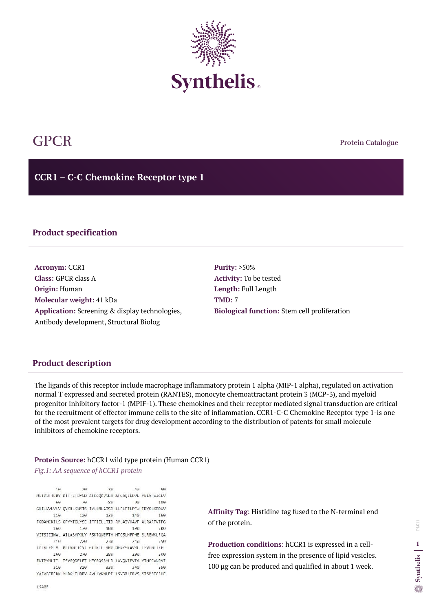**Protein Catalogue**

**CCR1 – C-C Chemokine Receptor type 1**



# GPCR

# **Product specification**

**Acronym:** CCR1 **Class:** GPCR class A **Origin:** Human **Molecular weight:** 41 kDa **Application:** Screening & display technologies, Antibody development, Structural Biolog

**Purity:** >50% **Activity:** To be tested **Length:** Full Length **TMD:** 7 **Biological function:** Stem cell proliferation

## **Product description**

The ligands of this receptor include macrophage inflammatory protein 1 alpha (MIP-1 alpha), regulated on activation normal T expressed and secreted protein (RANTES), monocyte chemoattractant protein 3 (MCP-3), and myeloid progenitor inhibitory factor-1 (MPIF-1). These chemokines and their receptor mediated signal transduction are critical for the recruitment of effector immune cells to the site of inflammation. CCR1-C-C Chemokine Receptor type 1-is one of the most prevalent targets for drug development according to the distribution of patents for small molecule inhibitors of chemokine receptors.

### **Protein Source:** hCCR1 wild type protein (Human CCR1)

*Fig.1: AA sequence of hCCR1 protein*

 $10 20^{\circ}$ 30  $47$  $50$ METPNITEDY DITTEFUYGD ATPCOKVNER AFGACELPPL YSLV-VIGLV  $10^{-1}$ 60 86 93 100 GNILVALVLV OVKRLKNMTS IVLLNLAISD LLFLFTLPFW IDVKLKDDWV 120 130 143 110 150 FGDAMCKILS GFYYTGLYSE IFFIILLTID RYLAIVHAVF ALRARTVTFG 170 160 180 199 200 VITSIIIWAL AILASMPGLY FSKTOWEFTH HTCSLHFPHE SLREWKLFOA  $710$  $770$ 238  $747$  $750$ LKLNLFGLVL PLLVMIICY: GIIKILLRRP NEKKSKAVRL IFVIMIIFFL 260  $2/8$ 286 293  $300$ FWTPYNLTIL ISVFODFLFT HECEOSRHLD LAVOVTEVIA VTHCCVNPVI 310 320 330 343 350 YAFVGERFRK YLROLFHRRV AVHLVKWLPF LSVDRLERVS STSPSTGEHE

**Affinity Tag**: Histidine tag fused to the N-terminal end of the protein.

**Production conditions**: hCCR1 is expressed in a cellfree expression system in the presence of lipid vesicles. 100 µg can be produced and qualified in about 1 week.